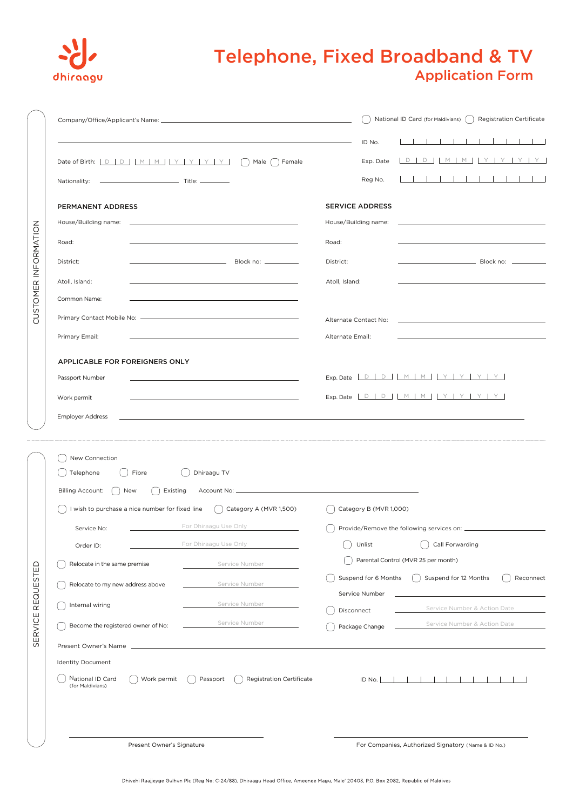

## Application Form Telephone, Fixed Broadband & TV

|                                                                         |                                                                                                                       |                              | National ID Card (for Maldivians) [ ] Registration Certificate |  |  |  |
|-------------------------------------------------------------------------|-----------------------------------------------------------------------------------------------------------------------|------------------------------|----------------------------------------------------------------|--|--|--|
|                                                                         |                                                                                                                       | ID No.                       |                                                                |  |  |  |
|                                                                         | Date of Birth: <b>D</b> D   M   M   Y   Y   Y   Y   Y   Male   Female                                                 | Exp. Date                    | D D M M Y Y Y Y                                                |  |  |  |
|                                                                         |                                                                                                                       | Reg No.                      | .                                                              |  |  |  |
| PERMANENT ADDRESS                                                       |                                                                                                                       | <b>SERVICE ADDRESS</b>       |                                                                |  |  |  |
| House/Building name:                                                    |                                                                                                                       | House/Building name:         |                                                                |  |  |  |
| Road:                                                                   |                                                                                                                       | Road:                        |                                                                |  |  |  |
| District:                                                               |                                                                                                                       | District:                    | ————————————————————<br>В lock no:  ———————                    |  |  |  |
| Atoll, Island:                                                          |                                                                                                                       | Atoll, Island:               |                                                                |  |  |  |
| Common Name:                                                            |                                                                                                                       |                              |                                                                |  |  |  |
|                                                                         |                                                                                                                       |                              |                                                                |  |  |  |
|                                                                         |                                                                                                                       | Alternate Contact No:        |                                                                |  |  |  |
| Primary Email:                                                          |                                                                                                                       | Alternate Email:             |                                                                |  |  |  |
| APPLICABLE FOR FOREIGNERS ONLY                                          |                                                                                                                       |                              |                                                                |  |  |  |
| Passport Number                                                         |                                                                                                                       |                              | Exp. Date $D D D M M N Y Y Y Y$                                |  |  |  |
| Work permit                                                             | <u> 1989 - Johann Harry Harry Harry Harry Harry Harry Harry Harry Harry Harry Harry Harry Harry Harry Harry Harry</u> |                              | Exp. Date <u>DDD</u> MMMYYYYYY                                 |  |  |  |
| <b>Employer Address</b>                                                 |                                                                                                                       |                              |                                                                |  |  |  |
| New Connection<br>[ ] Telephone<br>〔 〕Fibre<br>Billing Account: [ ] New | Dhiraagu TV<br>Existing                                                                                               |                              |                                                                |  |  |  |
|                                                                         | I wish to purchase a nice number for fixed line $\left( \begin{array}{c} \end{array} \right)$ Category A (MVR 1,500)  | Category B (MVR 1,000)       |                                                                |  |  |  |
| Service No:                                                             | For Dhiraagu Use Only                                                                                                 |                              |                                                                |  |  |  |
| Order ID:                                                               | For Dhiraagu Use Only                                                                                                 | $\bigcup$ Unlist             | Call Forwarding                                                |  |  |  |
| Relocate in the same premise                                            | Service Number                                                                                                        |                              | Parental Control (MVR 25 per month)                            |  |  |  |
| Relocate to my new address above                                        | Service Number                                                                                                        | Suspend for 6 Months         | Suspend for 12 Months<br>Reconnect                             |  |  |  |
| Internal wiring                                                         | Service Number                                                                                                        | Service Number               | Service Number & Action Date                                   |  |  |  |
| Become the registered owner of No:                                      | Service Number                                                                                                        | Disconnect<br>Package Change | Service Number & Action Date                                   |  |  |  |
|                                                                         |                                                                                                                       |                              |                                                                |  |  |  |
| <b>Identity Document</b>                                                |                                                                                                                       |                              |                                                                |  |  |  |
| National ID Card<br>Work permit<br>(for Maldivians)                     | () Passport<br><b>Registration Certificate</b>                                                                        |                              | ID No.                                                         |  |  |  |
|                                                                         |                                                                                                                       |                              |                                                                |  |  |  |
| Present Owner's Signature                                               |                                                                                                                       |                              | For Companies, Authorized Signatory (Name & ID No.)            |  |  |  |